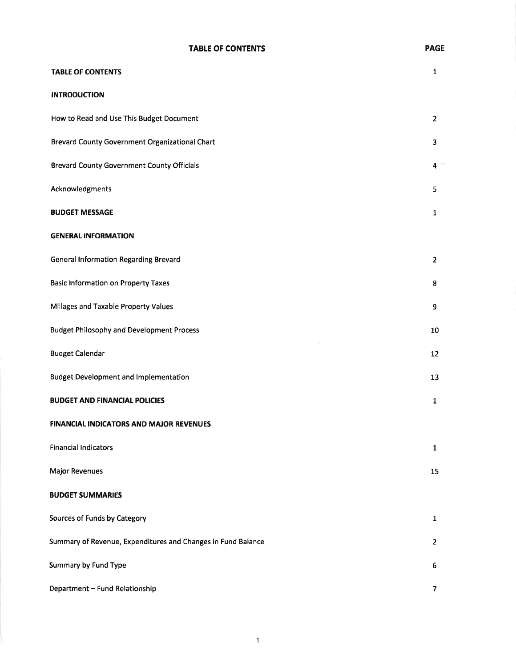### TABLE OF CONTENTS

| <b>TABLE OF CONTENTS</b>                                     | $\mathbf{1}$   |
|--------------------------------------------------------------|----------------|
| <b>INTRODUCTION</b>                                          |                |
| How to Read and Use This Budget Document                     | $\overline{2}$ |
| Brevard County Government Organizational Chart               | 3              |
| <b>Brevard County Government County Officials</b>            | 4              |
| Acknowledgments                                              | 5              |
| <b>BUDGET MESSAGE</b>                                        | 1              |
| <b>GENERAL INFORMATION</b>                                   |                |
| <b>General Information Regarding Brevard</b>                 | $\overline{2}$ |
| <b>Basic Information on Property Taxes</b>                   | 8              |
| Millages and Taxable Property Values                         | 9              |
| <b>Budget Philosophy and Development Process</b>             | 10             |
| <b>Budget Calendar</b>                                       | 12             |
| <b>Budget Development and Implementation</b>                 | 13             |
| <b>BUDGET AND FINANCIAL POLICIES</b>                         | 1              |
| <b>FINANCIAL INDICATORS AND MAJOR REVENUES</b>               |                |
| <b>Financial Indicators</b>                                  | $\mathbf{1}$   |
| <b>Major Revenues</b>                                        | 15             |
| <b>BUDGET SUMMARIES</b>                                      |                |
| Sources of Funds by Category                                 | $\mathbf{1}$   |
| Summary of Revenue, Expenditures and Changes in Fund Balance | $\overline{2}$ |
| Summary by Fund Type                                         | 6              |
| Department - Fund Relationship                               | 7              |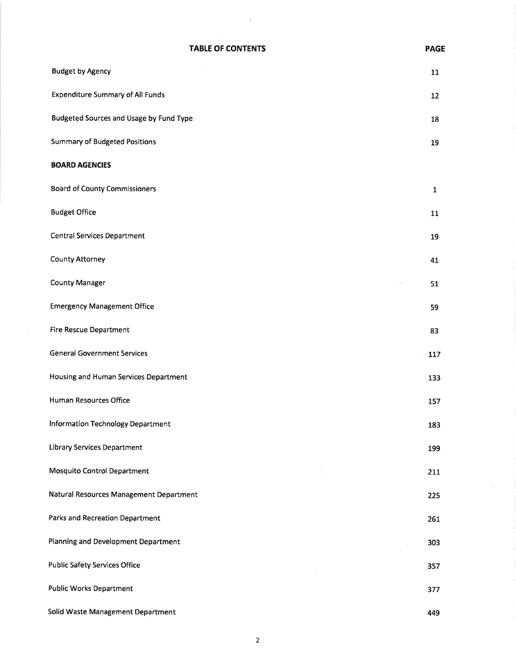| <b>TABLE OF CONTENTS</b> | <b>PAGE</b> |
|--------------------------|-------------|
|                          |             |

 $\rightarrow$ 

| <b>Budget by Agency</b>                        | 11           |
|------------------------------------------------|--------------|
| <b>Expenditure Summary of All Funds</b>        | 12           |
| <b>Budgeted Sources and Usage by Fund Type</b> | 18           |
| <b>Summary of Budgeted Positions</b>           | 19           |
| <b>BOARD AGENCIES</b>                          |              |
| <b>Board of County Commissioners</b>           | $\mathbf{1}$ |
| <b>Budget Office</b>                           | 11           |
| <b>Central Services Department</b>             | 19           |
| County Attorney                                | 41           |
| <b>County Manager</b>                          | 51           |
| <b>Emergency Management Office</b>             | 59           |
| <b>Fire Rescue Department</b>                  | 83           |
| <b>General Government Services</b>             | 117          |
| Housing and Human Services Department          | 133          |
| Human Resources Office                         | 157          |
| Information Technology Department              | 183          |
| <b>Library Services Department</b>             | 199          |
| <b>Mosquito Control Department</b>             | 211          |
| Natural Resources Management Department        | 225          |
| Parks and Recreation Department                | 261          |
| Planning and Development Department            | 303          |
| <b>Public Safety Services Office</b>           | 357          |
| <b>Public Works Department</b>                 | 377          |
| Solid Waste Management Department              | 449          |

 $\sim$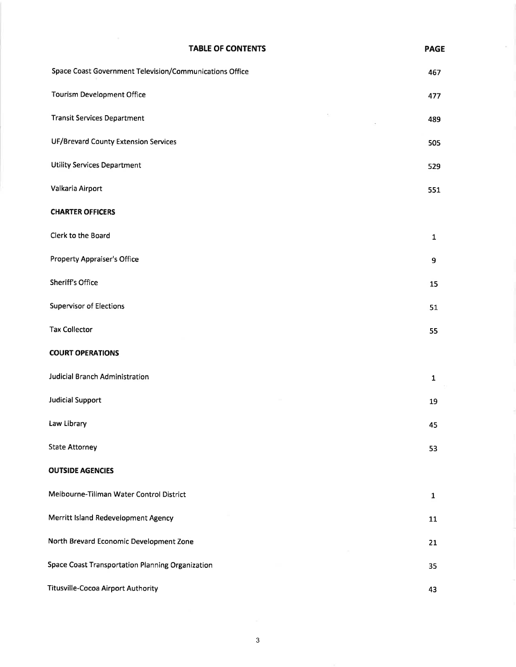# TABLE OF CONTENTS Space Coast Government Television/Communications Office Tourism Development Office  $\epsilon$ Transit Services Department UF/Brevard County Extension Services Utility Services Department

PAGE

457

477

489

505

s29

43

- Valkaria Airport CHARTER OFFICERS 551
- Clerk to the Board Property Appraiser's Office 1 9
- Sheriff's Office Supervisor of Elections Tax Collector 51 55 15

## COURT OPERATIONS

OUTSIDE AGENCIES

| Judicial Branch Administration | $\mathbf{1}$ |
|--------------------------------|--------------|
| <b>Judicial Support</b>        | 19<br>$\sim$ |
| Law Library                    | 45           |

# State Attorney 53

## Melbourne-Tillman Water Control District Merritt lsland Redevelopment Agency North Brevard Economic Development Zone Space Coast Transportation Planning Organization LL 2t 35 1

Titusville-Cocoa Airport Authority

#### 3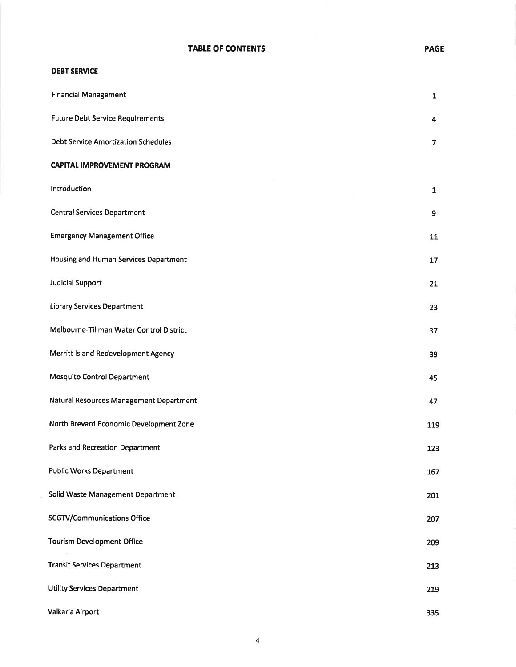## DEBT SERVICE

| <b>Financial Management</b>                | $\mathbf{1}$             |
|--------------------------------------------|--------------------------|
| <b>Future Debt Service Requirements</b>    | 4                        |
| <b>Debt Service Amortization Schedules</b> | $\overline{\phantom{a}}$ |
| <b>CAPITAL IMPROVEMENT PROGRAM</b>         |                          |
| Introduction                               | $\mathbf{1}$             |
| <b>Central Services Department</b>         | 9                        |
| <b>Emergency Management Office</b>         | 11                       |
| Housing and Human Services Department      | 17                       |
| <b>Judicial Support</b>                    | 21                       |
| <b>Library Services Department</b>         | 23                       |
| Melbourne-Tillman Water Control District   | 37                       |
| Merritt Island Redevelopment Agency        | 39                       |
| <b>Mosquito Control Department</b>         | 45                       |
| Natural Resources Management Department    | 47                       |
| North Brevard Economic Development Zone    | 119                      |
| <b>Parks and Recreation Department</b>     | 123                      |
| <b>Public Works Department</b>             | 167                      |
| Solid Waste Management Department          | 201                      |
| <b>SCGTV/Communications Office</b>         | 207                      |
| <b>Tourism Development Office</b>          | 209                      |
| <b>Transit Services Department</b>         | 213                      |
| <b>Utility Services Department</b>         | 219                      |
| Valkaria Airport                           | 335                      |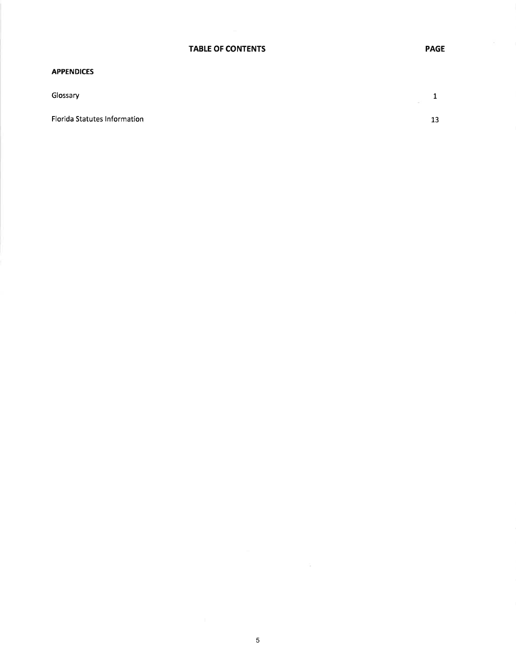#### APPENDICES

Florida Statutes lnformation

Glossary 1  $\hat{\sigma}^{\pm}_{\perp}$ 

13